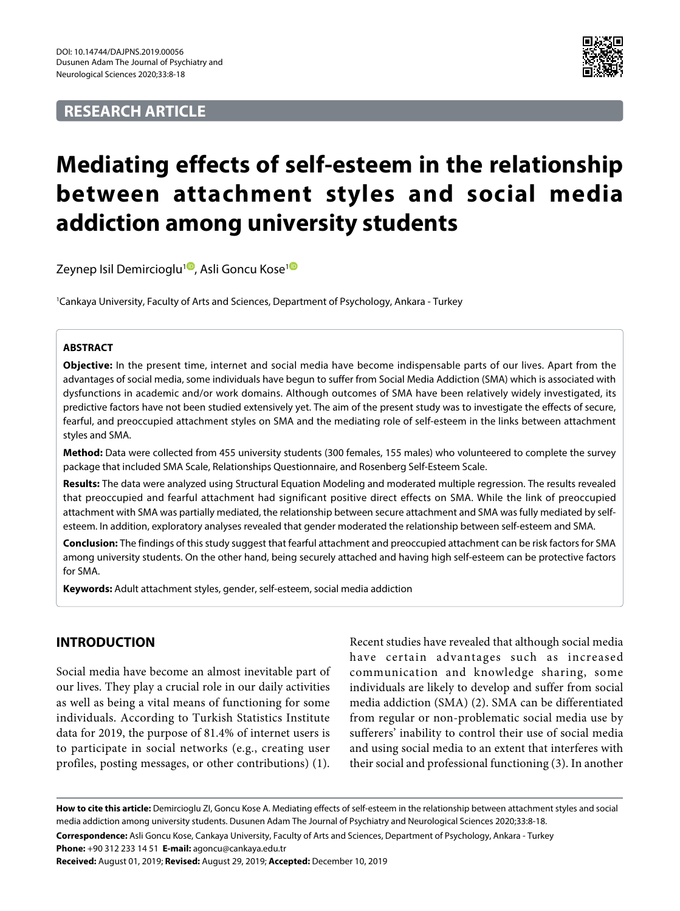# **RESEARCH ARTICLE**



# **Mediating effects of self-esteem in the relationship between attachment styles and social media addiction among university students**

Zeynep Isil Demircioglu<sup>[1](https://orcid.org/0000-0001-7740-7958)0</sup>, Asli Goncu Kose<sup>10</sup>

1 Cankaya University, Faculty of Arts and Sciences, Department of Psychology, Ankara - Turkey

# **ABSTRACT**

**Objective:** In the present time, internet and social media have become indispensable parts of our lives. Apart from the advantages of social media, some individuals have begun to suffer from Social Media Addiction (SMA) which is associated with dysfunctions in academic and/or work domains. Although outcomes of SMA have been relatively widely investigated, its predictive factors have not been studied extensively yet. The aim of the present study was to investigate the effects of secure, fearful, and preoccupied attachment styles on SMA and the mediating role of self-esteem in the links between attachment styles and SMA.

**Method:** Data were collected from 455 university students (300 females, 155 males) who volunteered to complete the survey package that included SMA Scale, Relationships Questionnaire, and Rosenberg Self-Esteem Scale.

**Results:** The data were analyzed using Structural Equation Modeling and moderated multiple regression. The results revealed that preoccupied and fearful attachment had significant positive direct effects on SMA. While the link of preoccupied attachment with SMA was partially mediated, the relationship between secure attachment and SMA was fully mediated by selfesteem. In addition, exploratory analyses revealed that gender moderated the relationship between self-esteem and SMA.

**Conclusion:** The findings of this study suggest that fearful attachment and preoccupied attachment can be risk factors for SMA among university students. On the other hand, being securely attached and having high self-esteem can be protective factors for SMA.

**Keywords:** Adult attachment styles, gender, self-esteem, social media addiction

# **INTRODUCTION**

Social media have become an almost inevitable part of our lives. They play a crucial role in our daily activities as well as being a vital means of functioning for some individuals. According to Turkish Statistics Institute data for 2019, the purpose of 81.4% of internet users is to participate in social networks (e.g., creating user profiles, posting messages, or other contributions) (1).

Recent studies have revealed that although social media have certain advantages such as increased communication and knowledge sharing, some individuals are likely to develop and suffer from social media addiction (SMA) (2). SMA can be differentiated from regular or non-problematic social media use by sufferers' inability to control their use of social media and using social media to an extent that interferes with their social and professional functioning (3). In another

**How to cite this article:** Demircioglu ZI, Goncu Kose A. Mediating effects of self-esteem in the relationship between attachment styles and social media addiction among university students. Dusunen Adam The Journal of Psychiatry and Neurological Sciences 2020;33:8-18.

**Correspondence:** Asli Goncu Kose, Cankaya University, Faculty of Arts and Sciences, Department of Psychology, Ankara - Turkey **Phone:** +90 312 233 14 51 **E-mail:** agoncu@cankaya.edu.tr

**Received:** August 01, 2019; **Revised:** August 29, 2019; **Accepted:** December 10, 2019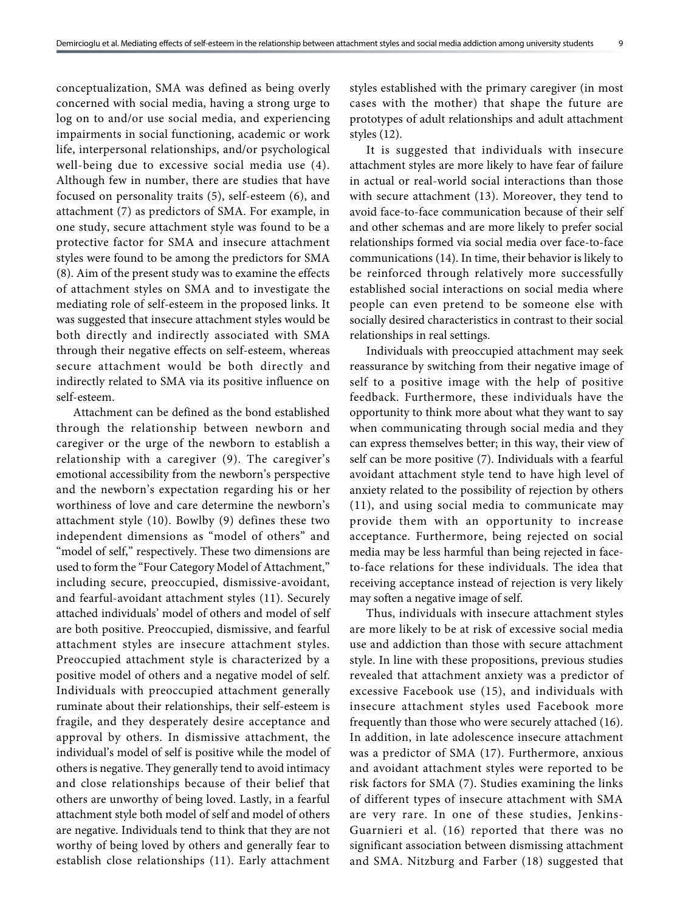conceptualization, SMA was defined as being overly concerned with social media, having a strong urge to log on to and/or use social media, and experiencing impairments in social functioning, academic or work life, interpersonal relationships, and/or psychological well-being due to excessive social media use (4). Although few in number, there are studies that have focused on personality traits (5), self-esteem (6), and attachment (7) as predictors of SMA. For example, in one study, secure attachment style was found to be a protective factor for SMA and insecure attachment styles were found to be among the predictors for SMA (8). Aim of the present study was to examine the effects of attachment styles on SMA and to investigate the mediating role of self-esteem in the proposed links. It was suggested that insecure attachment styles would be both directly and indirectly associated with SMA through their negative effects on self-esteem, whereas secure attachment would be both directly and indirectly related to SMA via its positive influence on self-esteem.

Attachment can be defined as the bond established through the relationship between newborn and caregiver or the urge of the newborn to establish a relationship with a caregiver (9). The caregiver's emotional accessibility from the newborn's perspective and the newborn's expectation regarding his or her worthiness of love and care determine the newborn's attachment style (10). Bowlby (9) defines these two independent dimensions as "model of others" and "model of self," respectively. These two dimensions are used to form the "Four Category Model of Attachment," including secure, preoccupied, dismissive-avoidant, and fearful-avoidant attachment styles (11). Securely attached individuals' model of others and model of self are both positive. Preoccupied, dismissive, and fearful attachment styles are insecure attachment styles. Preoccupied attachment style is characterized by a positive model of others and a negative model of self. Individuals with preoccupied attachment generally ruminate about their relationships, their self-esteem is fragile, and they desperately desire acceptance and approval by others. In dismissive attachment, the individual's model of self is positive while the model of others is negative. They generally tend to avoid intimacy and close relationships because of their belief that others are unworthy of being loved. Lastly, in a fearful attachment style both model of self and model of others are negative. Individuals tend to think that they are not worthy of being loved by others and generally fear to establish close relationships (11). Early attachment

styles established with the primary caregiver (in most cases with the mother) that shape the future are prototypes of adult relationships and adult attachment styles (12).

It is suggested that individuals with insecure attachment styles are more likely to have fear of failure in actual or real-world social interactions than those with secure attachment (13). Moreover, they tend to avoid face-to-face communication because of their self and other schemas and are more likely to prefer social relationships formed via social media over face-to-face communications (14). In time, their behavior is likely to be reinforced through relatively more successfully established social interactions on social media where people can even pretend to be someone else with socially desired characteristics in contrast to their social relationships in real settings.

Individuals with preoccupied attachment may seek reassurance by switching from their negative image of self to a positive image with the help of positive feedback. Furthermore, these individuals have the opportunity to think more about what they want to say when communicating through social media and they can express themselves better; in this way, their view of self can be more positive (7). Individuals with a fearful avoidant attachment style tend to have high level of anxiety related to the possibility of rejection by others (11), and using social media to communicate may provide them with an opportunity to increase acceptance. Furthermore, being rejected on social media may be less harmful than being rejected in faceto-face relations for these individuals. The idea that receiving acceptance instead of rejection is very likely may soften a negative image of self.

Thus, individuals with insecure attachment styles are more likely to be at risk of excessive social media use and addiction than those with secure attachment style. In line with these propositions, previous studies revealed that attachment anxiety was a predictor of excessive Facebook use (15), and individuals with insecure attachment styles used Facebook more frequently than those who were securely attached (16). In addition, in late adolescence insecure attachment was a predictor of SMA (17). Furthermore, anxious and avoidant attachment styles were reported to be risk factors for SMA (7). Studies examining the links of different types of insecure attachment with SMA are very rare. In one of these studies, Jenkins-Guarnieri et al. (16) reported that there was no significant association between dismissing attachment and SMA. Nitzburg and Farber (18) suggested that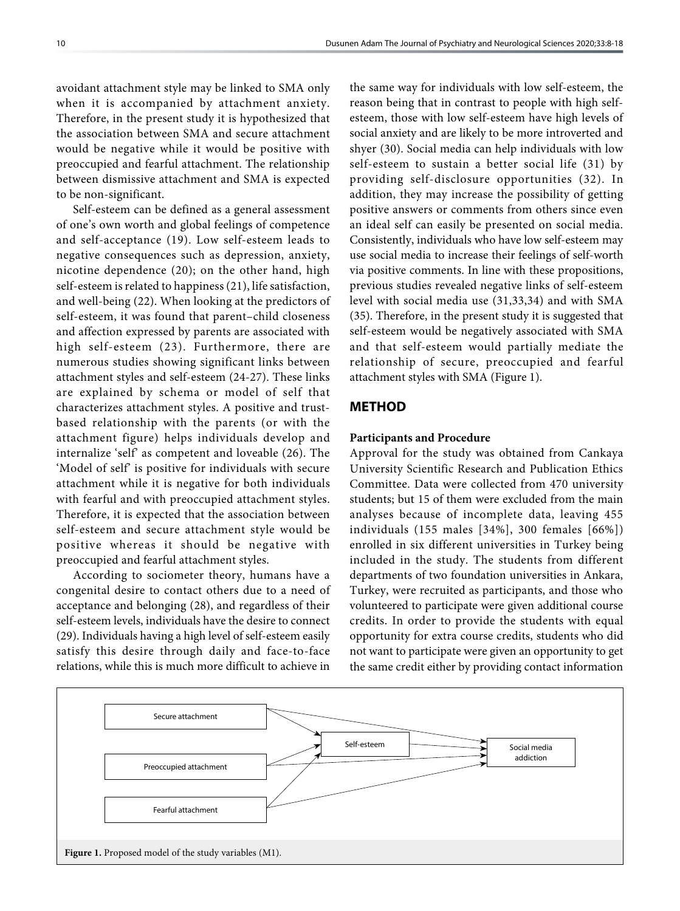avoidant attachment style may be linked to SMA only when it is accompanied by attachment anxiety. Therefore, in the present study it is hypothesized that the association between SMA and secure attachment would be negative while it would be positive with preoccupied and fearful attachment. The relationship between dismissive attachment and SMA is expected to be non-significant.

Self-esteem can be defined as a general assessment of one's own worth and global feelings of competence and self-acceptance (19). Low self-esteem leads to negative consequences such as depression, anxiety, nicotine dependence (20); on the other hand, high self-esteem is related to happiness (21), life satisfaction, and well-being (22). When looking at the predictors of self-esteem, it was found that parent–child closeness and affection expressed by parents are associated with high self-esteem (23). Furthermore, there are numerous studies showing significant links between attachment styles and self-esteem (24-27). These links are explained by schema or model of self that characterizes attachment styles. A positive and trustbased relationship with the parents (or with the attachment figure) helps individuals develop and internalize 'self' as competent and loveable (26). The 'Model of self' is positive for individuals with secure attachment while it is negative for both individuals with fearful and with preoccupied attachment styles. Therefore, it is expected that the association between self-esteem and secure attachment style would be positive whereas it should be negative with preoccupied and fearful attachment styles.

According to sociometer theory, humans have a congenital desire to contact others due to a need of acceptance and belonging (28), and regardless of their self-esteem levels, individuals have the desire to connect (29). Individuals having a high level of self-esteem easily satisfy this desire through daily and face-to-face relations, while this is much more difficult to achieve in

the same way for individuals with low self-esteem, the reason being that in contrast to people with high selfesteem, those with low self-esteem have high levels of social anxiety and are likely to be more introverted and shyer (30). Social media can help individuals with low self-esteem to sustain a better social life (31) by providing self-disclosure opportunities (32). In addition, they may increase the possibility of getting positive answers or comments from others since even an ideal self can easily be presented on social media. Consistently, individuals who have low self-esteem may use social media to increase their feelings of self-worth via positive comments. In line with these propositions, previous studies revealed negative links of self-esteem level with social media use (31,33,34) and with SMA (35). Therefore, in the present study it is suggested that self-esteem would be negatively associated with SMA and that self-esteem would partially mediate the relationship of secure, preoccupied and fearful attachment styles with SMA (Figure 1).

## **METHOD**

#### **Participants and Procedure**

Approval for the study was obtained from Cankaya University Scientific Research and Publication Ethics Committee. Data were collected from 470 university students; but 15 of them were excluded from the main analyses because of incomplete data, leaving 455 individuals (155 males [34%], 300 females [66%]) enrolled in six different universities in Turkey being included in the study. The students from different departments of two foundation universities in Ankara, Turkey, were recruited as participants, and those who volunteered to participate were given additional course credits. In order to provide the students with equal opportunity for extra course credits, students who did not want to participate were given an opportunity to get the same credit either by providing contact information

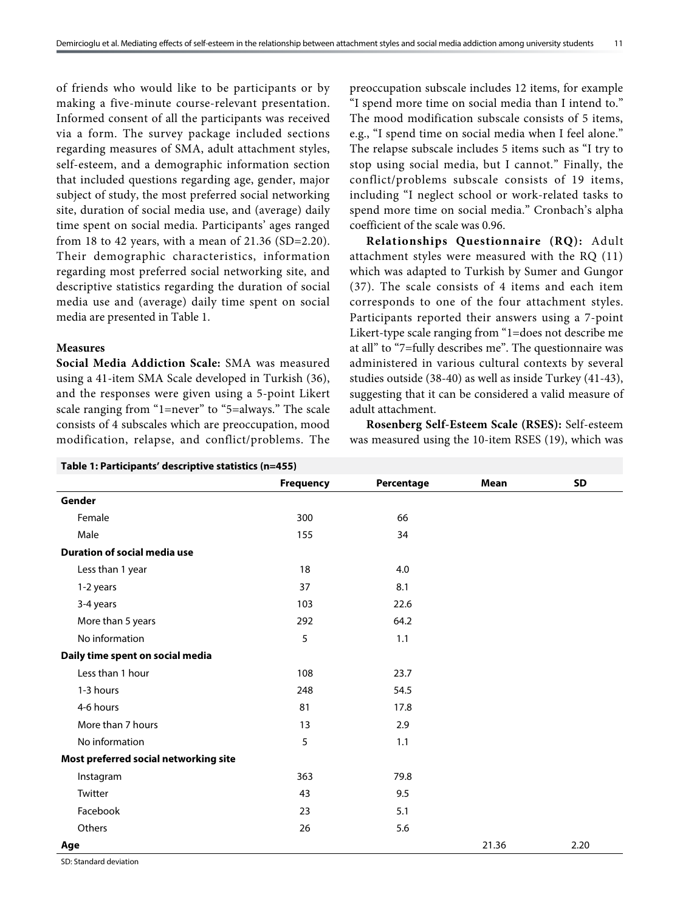of friends who would like to be participants or by making a five-minute course-relevant presentation. Informed consent of all the participants was received via a form. The survey package included sections regarding measures of SMA, adult attachment styles, self-esteem, and a demographic information section that included questions regarding age, gender, major subject of study, the most preferred social networking site, duration of social media use, and (average) daily time spent on social media. Participants' ages ranged from 18 to 42 years, with a mean of  $21.36$  (SD=2.20). Their demographic characteristics, information regarding most preferred social networking site, and descriptive statistics regarding the duration of social media use and (average) daily time spent on social media are presented in Table 1.

## **Measures**

**Social Media Addiction Scale:** SMA was measured using a 41-item SMA Scale developed in Turkish (36), and the responses were given using a 5-point Likert scale ranging from "1=never" to "5=always." The scale consists of 4 subscales which are preoccupation, mood modification, relapse, and conflict/problems. The preoccupation subscale includes 12 items, for example "I spend more time on social media than I intend to." The mood modification subscale consists of 5 items, e.g., "I spend time on social media when I feel alone." The relapse subscale includes 5 items such as "I try to stop using social media, but I cannot." Finally, the conflict/problems subscale consists of 19 items, including "I neglect school or work-related tasks to spend more time on social media." Cronbach's alpha coefficient of the scale was 0.96.

**Relationships Questionnaire (RQ):** Adult attachment styles were measured with the RQ (11) which was adapted to Turkish by Sumer and Gungor (37). The scale consists of 4 items and each item corresponds to one of the four attachment styles. Participants reported their answers using a 7-point Likert-type scale ranging from "1=does not describe me at all" to "7=fully describes me". The questionnaire was administered in various cultural contexts by several studies outside (38-40) as well as inside Turkey (41-43), suggesting that it can be considered a valid measure of adult attachment.

**Rosenberg Self-Esteem Scale (RSES):** Self-esteem was measured using the 10-item RSES (19), which was

| Table 1: Participants' descriptive statistics (n=455) |                  |            |       |           |  |  |  |
|-------------------------------------------------------|------------------|------------|-------|-----------|--|--|--|
|                                                       | <b>Frequency</b> | Percentage | Mean  | <b>SD</b> |  |  |  |
| Gender                                                |                  |            |       |           |  |  |  |
| Female                                                | 300              | 66         |       |           |  |  |  |
| Male                                                  | 155              | 34         |       |           |  |  |  |
| <b>Duration of social media use</b>                   |                  |            |       |           |  |  |  |
| Less than 1 year                                      | 18               | 4.0        |       |           |  |  |  |
| 1-2 years                                             | 37               | 8.1        |       |           |  |  |  |
| 3-4 years                                             | 103              | 22.6       |       |           |  |  |  |
| More than 5 years                                     | 292              | 64.2       |       |           |  |  |  |
| No information                                        | 5                | 1.1        |       |           |  |  |  |
| Daily time spent on social media                      |                  |            |       |           |  |  |  |
| Less than 1 hour                                      | 108              | 23.7       |       |           |  |  |  |
| 1-3 hours                                             | 248              | 54.5       |       |           |  |  |  |
| 4-6 hours                                             | 81               | 17.8       |       |           |  |  |  |
| More than 7 hours                                     | 13               | 2.9        |       |           |  |  |  |
| No information                                        | 5                | 1.1        |       |           |  |  |  |
| Most preferred social networking site                 |                  |            |       |           |  |  |  |
| Instagram                                             | 363              | 79.8       |       |           |  |  |  |
| Twitter                                               | 43               | 9.5        |       |           |  |  |  |
| Facebook                                              | 23               | 5.1        |       |           |  |  |  |
| Others                                                | 26               | 5.6        |       |           |  |  |  |
| Age                                                   |                  |            | 21.36 | 2.20      |  |  |  |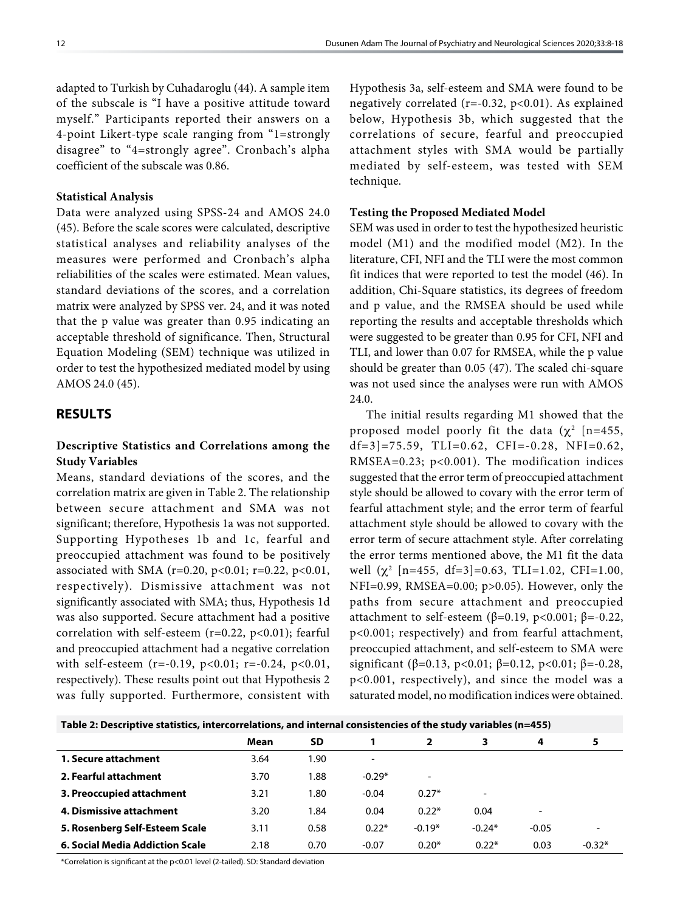adapted to Turkish by Cuhadaroglu (44). A sample item of the subscale is "I have a positive attitude toward myself." Participants reported their answers on a 4-point Likert-type scale ranging from "1=strongly disagree" to "4=strongly agree". Cronbach's alpha coefficient of the subscale was 0.86.

#### **Statistical Analysis**

Data were analyzed using SPSS-24 and AMOS 24.0 (45). Before the scale scores were calculated, descriptive statistical analyses and reliability analyses of the measures were performed and Cronbach's alpha reliabilities of the scales were estimated. Mean values, standard deviations of the scores, and a correlation matrix were analyzed by SPSS ver. 24, and it was noted that the p value was greater than 0.95 indicating an acceptable threshold of significance. Then, Structural Equation Modeling (SEM) technique was utilized in order to test the hypothesized mediated model by using AMOS 24.0 (45).

# **RESULTS**

# **Descriptive Statistics and Correlations among the Study Variables**

Means, standard deviations of the scores, and the correlation matrix are given in Table 2. The relationship between secure attachment and SMA was not significant; therefore, Hypothesis 1a was not supported. Supporting Hypotheses 1b and 1c, fearful and preoccupied attachment was found to be positively associated with SMA (r=0.20, p<0.01; r=0.22, p<0.01, respectively). Dismissive attachment was not significantly associated with SMA; thus, Hypothesis 1d was also supported. Secure attachment had a positive correlation with self-esteem ( $r=0.22$ ,  $p<0.01$ ); fearful and preoccupied attachment had a negative correlation with self-esteem (r=-0.19, p<0.01; r=-0.24, p<0.01, respectively). These results point out that Hypothesis 2 was fully supported. Furthermore, consistent with

Hypothesis 3a, self-esteem and SMA were found to be negatively correlated ( $r=-0.32$ ,  $p<0.01$ ). As explained below, Hypothesis 3b, which suggested that the correlations of secure, fearful and preoccupied attachment styles with SMA would be partially mediated by self-esteem, was tested with SEM technique.

#### **Testing the Proposed Mediated Model**

SEM was used in order to test the hypothesized heuristic model (M1) and the modified model (M2). In the literature, CFI, NFI and the TLI were the most common fit indices that were reported to test the model (46). In addition, Chi-Square statistics, its degrees of freedom and p value, and the RMSEA should be used while reporting the results and acceptable thresholds which were suggested to be greater than 0.95 for CFI, NFI and TLI, and lower than 0.07 for RMSEA, while the p value should be greater than 0.05 (47). The scaled chi-square was not used since the analyses were run with AMOS 24.0.

The initial results regarding M1 showed that the proposed model poorly fit the data ( $\chi^2$  [n=455, df=3]=75.59, TLI=0.62, CFI=-0.28, NFI=0.62, RMSEA=0.23; p<0.001). The modification indices suggested that the error term of preoccupied attachment style should be allowed to covary with the error term of fearful attachment style; and the error term of fearful attachment style should be allowed to covary with the error term of secure attachment style. After correlating the error terms mentioned above, the M1 fit the data well  $(\chi^2$  [n=455, df=3]=0.63, TLI=1.02, CFI=1.00, NFI=0.99, RMSEA=0.00; p>0.05). However, only the paths from secure attachment and preoccupied attachment to self-esteem (β=0.19, p<0.001; β=-0.22, p<0.001; respectively) and from fearful attachment, preoccupied attachment, and self-esteem to SMA were significant (β=0.13, p<0.01; β=0.12, p<0.01; β=-0.28, p<0.001, respectively), and since the model was a saturated model, no modification indices were obtained.

| Table 2: Descriptive statistics, intercorrelations, and internal consistencies of the study variables (n=455) |      |     |  |  |  |  |  |
|---------------------------------------------------------------------------------------------------------------|------|-----|--|--|--|--|--|
|                                                                                                               | Mean | -SD |  |  |  |  |  |
|                                                                                                               |      |     |  |  |  |  |  |

| 1. Secure attachment            | 3.64 | 1.90 | -        |                          |                          |                          |          |
|---------------------------------|------|------|----------|--------------------------|--------------------------|--------------------------|----------|
| 2. Fearful attachment           | 3.70 | 1.88 | $-0.29*$ | $\overline{\phantom{0}}$ |                          |                          |          |
| 3. Preoccupied attachment       | 3.21 | 1.80 | $-0.04$  | $0.27*$                  | $\overline{\phantom{0}}$ |                          |          |
| 4. Dismissive attachment        | 3.20 | 1.84 | 0.04     | $0.22*$                  | 0.04                     | $\overline{\phantom{0}}$ |          |
| 5. Rosenberg Self-Esteem Scale  | 3.11 | 0.58 | $0.22*$  | $-0.19*$                 | $-0.24*$                 | $-0.05$                  |          |
| 6. Social Media Addiction Scale | 2.18 | 0.70 | $-0.07$  | $0.20*$                  | $0.22*$                  | 0.03                     | $-0.32*$ |
|                                 |      |      |          |                          |                          |                          |          |

\*Correlation is significant at the p<0.01 level (2-tailed). SD: Standard deviation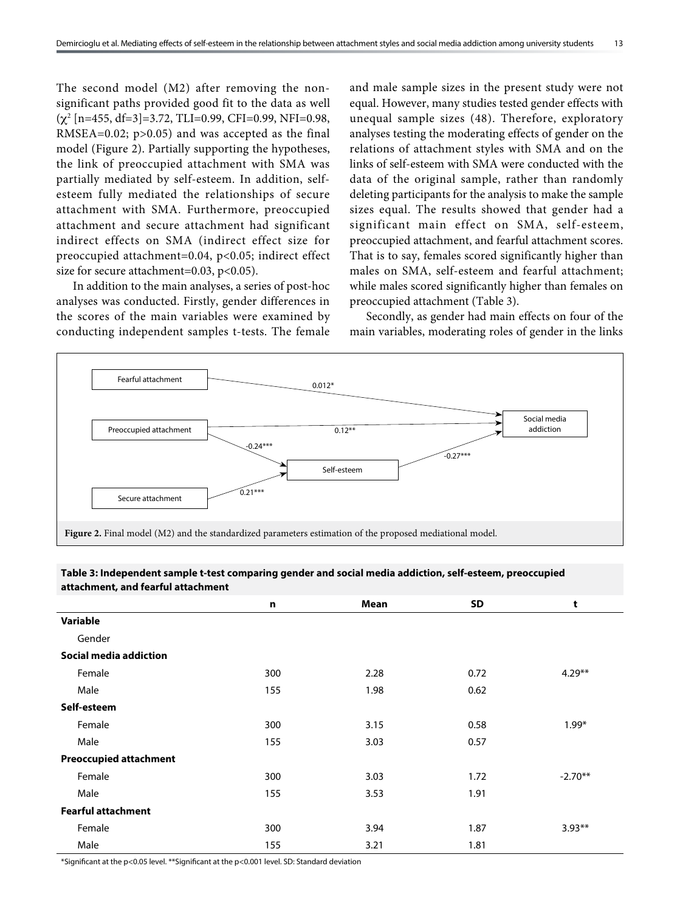The second model (M2) after removing the nonsignificant paths provided good fit to the data as well  $(\chi^2$  [n=455, df=3]=3.72, TLI=0.99, CFI=0.99, NFI=0.98, RMSEA=0.02; p>0.05) and was accepted as the final model (Figure 2). Partially supporting the hypotheses, the link of preoccupied attachment with SMA was partially mediated by self-esteem. In addition, selfesteem fully mediated the relationships of secure attachment with SMA. Furthermore, preoccupied attachment and secure attachment had significant indirect effects on SMA (indirect effect size for preoccupied attachment=0.04, p<0.05; indirect effect size for secure attachment=0.03, p<0.05).

In addition to the main analyses, a series of post-hoc analyses was conducted. Firstly, gender differences in the scores of the main variables were examined by conducting independent samples t-tests. The female and male sample sizes in the present study were not equal. However, many studies tested gender effects with unequal sample sizes (48). Therefore, exploratory analyses testing the moderating effects of gender on the relations of attachment styles with SMA and on the links of self-esteem with SMA were conducted with the data of the original sample, rather than randomly deleting participants for the analysis to make the sample sizes equal. The results showed that gender had a significant main effect on SMA, self-esteem, preoccupied attachment, and fearful attachment scores. That is to say, females scored significantly higher than males on SMA, self-esteem and fearful attachment; while males scored significantly higher than females on preoccupied attachment (Table 3).

Secondly, as gender had main effects on four of the main variables, moderating roles of gender in the links



| allalmient, and rearign attachment |     |      |           |           |
|------------------------------------|-----|------|-----------|-----------|
|                                    | n   | Mean | <b>SD</b> | t         |
| Variable                           |     |      |           |           |
| Gender                             |     |      |           |           |
| Social media addiction             |     |      |           |           |
| Female                             | 300 | 2.28 | 0.72      | $4.29**$  |
| Male                               | 155 | 1.98 | 0.62      |           |
| Self-esteem                        |     |      |           |           |
| Female                             | 300 | 3.15 | 0.58      | $1.99*$   |
| Male                               | 155 | 3.03 | 0.57      |           |
| <b>Preoccupied attachment</b>      |     |      |           |           |
| Female                             | 300 | 3.03 | 1.72      | $-2.70**$ |
| Male                               | 155 | 3.53 | 1.91      |           |
| <b>Fearful attachment</b>          |     |      |           |           |
| Female                             | 300 | 3.94 | 1.87      | $3.93**$  |
| Male                               | 155 | 3.21 | 1.81      |           |

**Table 3: Independent sample t-test comparing gender and social media addiction, self-esteem, preoccupied attachment, and fearful attachment**

\*Significant at the p<0.05 level. \*\*Significant at the p<0.001 level. SD: Standard deviation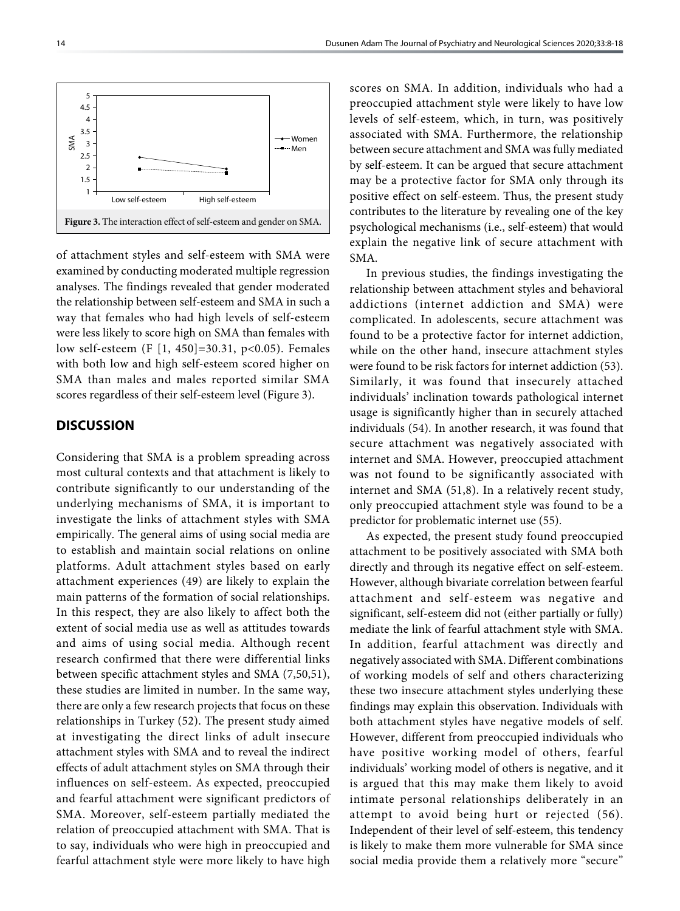

of attachment styles and self-esteem with SMA were examined by conducting moderated multiple regression analyses. The findings revealed that gender moderated the relationship between self-esteem and SMA in such a way that females who had high levels of self-esteem were less likely to score high on SMA than females with low self-esteem (F [1, 450]=30.31, p<0.05). Females with both low and high self-esteem scored higher on SMA than males and males reported similar SMA scores regardless of their self-esteem level (Figure 3).

# **DISCUSSION**

Considering that SMA is a problem spreading across most cultural contexts and that attachment is likely to contribute significantly to our understanding of the underlying mechanisms of SMA, it is important to investigate the links of attachment styles with SMA empirically. The general aims of using social media are to establish and maintain social relations on online platforms. Adult attachment styles based on early attachment experiences (49) are likely to explain the main patterns of the formation of social relationships. In this respect, they are also likely to affect both the extent of social media use as well as attitudes towards and aims of using social media. Although recent research confirmed that there were differential links between specific attachment styles and SMA (7,50,51), these studies are limited in number. In the same way, there are only a few research projects that focus on these relationships in Turkey (52). The present study aimed at investigating the direct links of adult insecure attachment styles with SMA and to reveal the indirect effects of adult attachment styles on SMA through their influences on self-esteem. As expected, preoccupied and fearful attachment were significant predictors of SMA. Moreover, self-esteem partially mediated the relation of preoccupied attachment with SMA. That is to say, individuals who were high in preoccupied and fearful attachment style were more likely to have high

scores on SMA. In addition, individuals who had a preoccupied attachment style were likely to have low levels of self-esteem, which, in turn, was positively associated with SMA. Furthermore, the relationship between secure attachment and SMA was fully mediated by self-esteem. It can be argued that secure attachment may be a protective factor for SMA only through its positive effect on self-esteem. Thus, the present study contributes to the literature by revealing one of the key psychological mechanisms (i.e., self-esteem) that would explain the negative link of secure attachment with SMA.

In previous studies, the findings investigating the relationship between attachment styles and behavioral addictions (internet addiction and SMA) were complicated. In adolescents, secure attachment was found to be a protective factor for internet addiction, while on the other hand, insecure attachment styles were found to be risk factors for internet addiction (53). Similarly, it was found that insecurely attached individuals' inclination towards pathological internet usage is significantly higher than in securely attached individuals (54). In another research, it was found that secure attachment was negatively associated with internet and SMA. However, preoccupied attachment was not found to be significantly associated with internet and SMA (51,8). In a relatively recent study, only preoccupied attachment style was found to be a predictor for problematic internet use (55).

As expected, the present study found preoccupied attachment to be positively associated with SMA both directly and through its negative effect on self-esteem. However, although bivariate correlation between fearful attachment and self-esteem was negative and significant, self-esteem did not (either partially or fully) mediate the link of fearful attachment style with SMA. In addition, fearful attachment was directly and negatively associated with SMA. Different combinations of working models of self and others characterizing these two insecure attachment styles underlying these findings may explain this observation. Individuals with both attachment styles have negative models of self. However, different from preoccupied individuals who have positive working model of others, fearful individuals' working model of others is negative, and it is argued that this may make them likely to avoid intimate personal relationships deliberately in an attempt to avoid being hurt or rejected (56). Independent of their level of self-esteem, this tendency is likely to make them more vulnerable for SMA since social media provide them a relatively more "secure"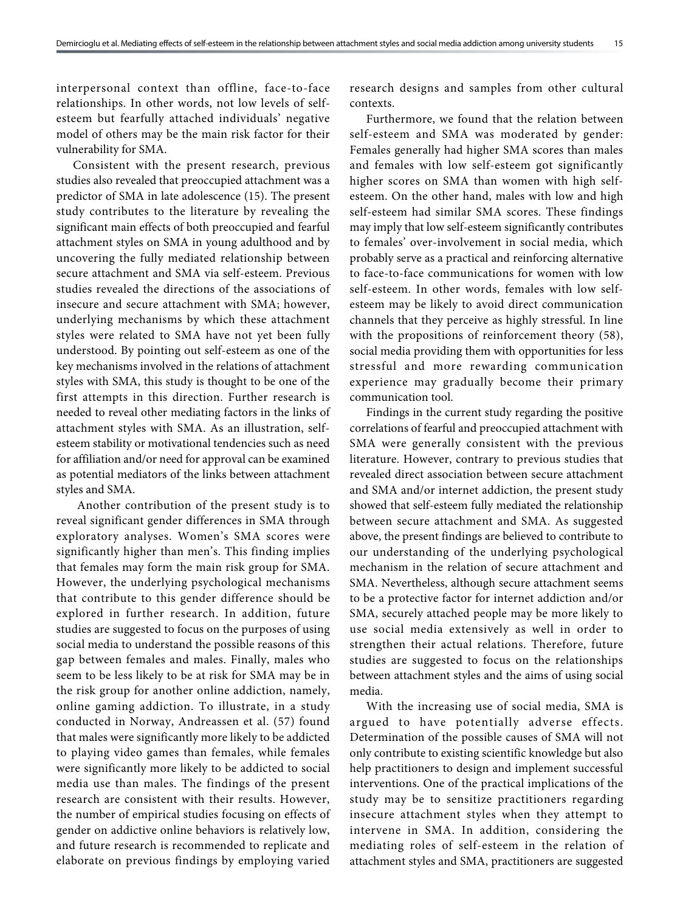interpersonal context than offline, face-to-face relationships. In other words, not low levels of selfesteem but fearfully attached individuals' negative model of others may be the main risk factor for their vulnerability for SMA.

Consistent with the present research, previous studies also revealed that preoccupied attachment was a predictor of SMA in late adolescence (15). The present study contributes to the literature by revealing the significant main effects of both preoccupied and fearful attachment styles on SMA in young adulthood and by uncovering the fully mediated relationship between secure attachment and SMA via self-esteem. Previous studies revealed the directions of the associations of insecure and secure attachment with SMA; however, underlying mechanisms by which these attachment styles were related to SMA have not yet been fully understood. By pointing out self-esteem as one of the key mechanisms involved in the relations of attachment styles with SMA, this study is thought to be one of the first attempts in this direction. Further research is needed to reveal other mediating factors in the links of attachment styles with SMA. As an illustration, selfesteem stability or motivational tendencies such as need for affiliation and/or need for approval can be examined as potential mediators of the links between attachment styles and SMA.

 Another contribution of the present study is to reveal significant gender differences in SMA through exploratory analyses. Women's SMA scores were significantly higher than men's. This finding implies that females may form the main risk group for SMA. However, the underlying psychological mechanisms that contribute to this gender difference should be explored in further research. In addition, future studies are suggested to focus on the purposes of using social media to understand the possible reasons of this gap between females and males. Finally, males who seem to be less likely to be at risk for SMA may be in the risk group for another online addiction, namely, online gaming addiction. To illustrate, in a study conducted in Norway, Andreassen et al. (57) found that males were significantly more likely to be addicted to playing video games than females, while females were significantly more likely to be addicted to social media use than males. The findings of the present research are consistent with their results. However, the number of empirical studies focusing on effects of gender on addictive online behaviors is relatively low, and future research is recommended to replicate and elaborate on previous findings by employing varied

research designs and samples from other cultural contexts.

Furthermore, we found that the relation between self-esteem and SMA was moderated by gender: Females generally had higher SMA scores than males and females with low self-esteem got significantly higher scores on SMA than women with high selfesteem. On the other hand, males with low and high self-esteem had similar SMA scores. These findings may imply that low self-esteem significantly contributes to females' over-involvement in social media, which probably serve as a practical and reinforcing alternative to face-to-face communications for women with low self-esteem. In other words, females with low selfesteem may be likely to avoid direct communication channels that they perceive as highly stressful. In line with the propositions of reinforcement theory (58), social media providing them with opportunities for less stressful and more rewarding communication experience may gradually become their primary communication tool.

Findings in the current study regarding the positive correlations of fearful and preoccupied attachment with SMA were generally consistent with the previous literature. However, contrary to previous studies that revealed direct association between secure attachment and SMA and/or internet addiction, the present study showed that self-esteem fully mediated the relationship between secure attachment and SMA. As suggested above, the present findings are believed to contribute to our understanding of the underlying psychological mechanism in the relation of secure attachment and SMA. Nevertheless, although secure attachment seems to be a protective factor for internet addiction and/or SMA, securely attached people may be more likely to use social media extensively as well in order to strengthen their actual relations. Therefore, future studies are suggested to focus on the relationships between attachment styles and the aims of using social media.

With the increasing use of social media, SMA is argued to have potentially adverse effects. Determination of the possible causes of SMA will not only contribute to existing scientific knowledge but also help practitioners to design and implement successful interventions. One of the practical implications of the study may be to sensitize practitioners regarding insecure attachment styles when they attempt to intervene in SMA. In addition, considering the mediating roles of self-esteem in the relation of attachment styles and SMA, practitioners are suggested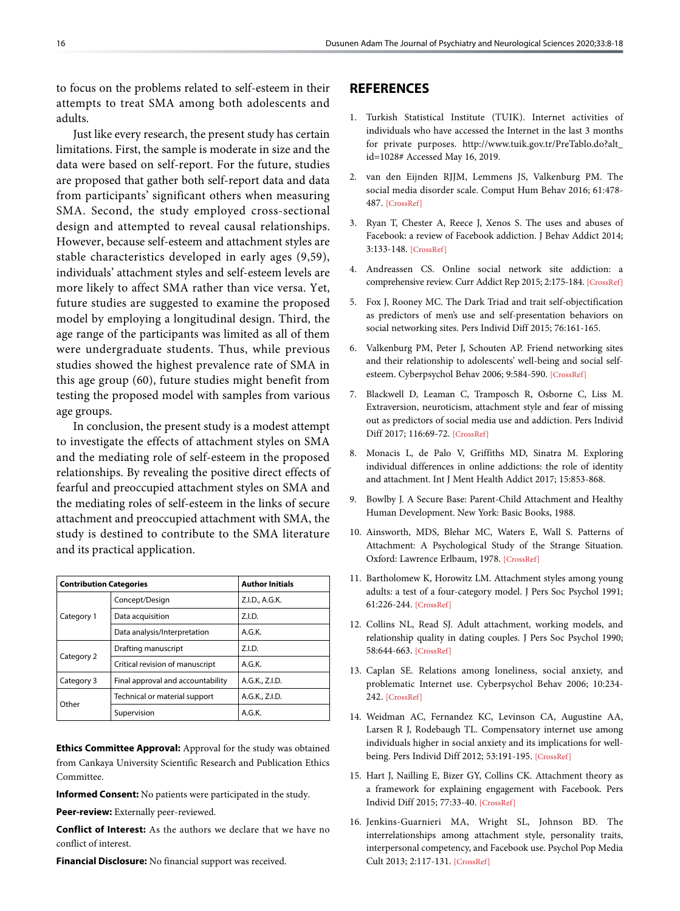to focus on the problems related to self-esteem in their attempts to treat SMA among both adolescents and adults.

Just like every research, the present study has certain limitations. First, the sample is moderate in size and the data were based on self-report. For the future, studies are proposed that gather both self-report data and data from participants' significant others when measuring SMA. Second, the study employed cross-sectional design and attempted to reveal causal relationships. However, because self-esteem and attachment styles are stable characteristics developed in early ages (9,59), individuals' attachment styles and self-esteem levels are more likely to affect SMA rather than vice versa. Yet, future studies are suggested to examine the proposed model by employing a longitudinal design. Third, the age range of the participants was limited as all of them were undergraduate students. Thus, while previous studies showed the highest prevalence rate of SMA in this age group (60), future studies might benefit from testing the proposed model with samples from various age groups.

In conclusion, the present study is a modest attempt to investigate the effects of attachment styles on SMA and the mediating role of self-esteem in the proposed relationships. By revealing the positive direct effects of fearful and preoccupied attachment styles on SMA and the mediating roles of self-esteem in the links of secure attachment and preoccupied attachment with SMA, the study is destined to contribute to the SMA literature and its practical application.

| <b>Contribution Categories</b> |                                   | <b>Author Initials</b> |  |  |
|--------------------------------|-----------------------------------|------------------------|--|--|
|                                | Concept/Design                    | Z.I.D., A.G.K.         |  |  |
| Category 1                     | Data acquisition                  | Z.I.D.                 |  |  |
|                                | Data analysis/Interpretation      | A.G.K.                 |  |  |
| Category 2                     | Drafting manuscript               | Z.I.D.                 |  |  |
|                                | Critical revision of manuscript   | A.G.K.                 |  |  |
| Category 3                     | Final approval and accountability | A.G.K., Z.I.D.         |  |  |
| Other                          | Technical or material support     | A.G.K., Z.I.D.         |  |  |
|                                | Supervision                       | A.G.K.                 |  |  |

**Ethics Committee Approval:** Approval for the study was obtained from Cankaya University Scientific Research and Publication Ethics Committee.

**Informed Consent:** No patients were participated in the study.

**Peer-review:** Externally peer-reviewed.

**Conflict of Interest:** As the authors we declare that we have no conflict of interest.

**Financial Disclosure:** No financial support was received.

# **REFERENCES**

- 1. Turkish Statistical Institute (TUIK). Internet activities of individuals who have accessed the Internet in the last 3 months for private purposes. http://www.tuik.gov.tr/PreTablo.do?alt\_ id=1028# Accessed May 16, 2019.
- 2. van den Eijnden RJJM, Lemmens JS, Valkenburg PM. The social media disorder scale. Comput Hum Behav 2016; 61:478- 487. [\[CrossRef\]](https://doi.org/10.1016/j.chb.2016.03.038)
- 3. Ryan T, Chester A, Reece J, Xenos S. The uses and abuses of Facebook: a review of Facebook addiction. J Behav Addict 2014; 3:133-148. [\[CrossRef\]](https://doi.org/10.1556/JBA.3.2014.016)
- 4. Andreassen CS. Online social network site addiction: a comprehensive review. Curr Addict Rep 2015; 2:175-184. [\[CrossRef\]](https://doi.org/10.1007/s40429-015-0056-9)
- 5. Fox J, Rooney MC. The Dark Triad and trait self-objectification as predictors of men's use and self-presentation behaviors on social networking sites. [Pers Individ Diff 2015; 76:161-165.](https://doi.org/10.1016/j.paid.2014.12.017)
- 6. Valkenburg PM, Peter J, Schouten AP. Friend networking sites and their relationship to adolescents' well-being and social selfesteem. Cyberpsychol Behav 2006; 9:584-590. [\[CrossRef\]](https://doi.org/10.1089/cpb.2006.9.584)
- 7. Blackwell D, Leaman C, Tramposch R, Osborne C, Liss M. Extraversion, neuroticism, attachment style and fear of missing out as predictors of social media use and addiction. Pers Individ Diff 2017; 116:69-72[. \[CrossRef\]](https://doi.org/10.1016/j.paid.2017.04.039)
- 8. Monacis L, de Palo V, Griffiths MD, Sinatra M. Exploring individual differences in online addictions: the role of identity and attachment. [Int J Ment Health Addict 2017; 15:853-868.](https://doi.org/10.1007/s11469-017-9768-5)
- 9. Bowlby J. A Secure Base: Parent-Child Attachment and Healthy Human Development. New York: Basic Books, 1988.
- 10. Ainsworth, MDS, Blehar MC, Waters E, Wall S. Patterns of Attachment: A Psychological Study of the Strange Situation. Oxford: Lawrence Erlbaum, 197[8. \[CrossRef\]](https://doi.org/10.1037/t28248-000)
- 11. Bartholomew K, Horowitz LM. Attachment styles among young adults: a test of a four-category model. J Pers Soc Psychol 1991; 61:226-24[4. \[CrossRef\]](https://doi.org/10.1037/0022-3514.61.2.226)
- 12. Collins NL, Read SJ. Adult attachment, working models, and relationship quality in dating couples. J Pers Soc Psychol 1990; 58:644-66[3. \[CrossRef\]](https://doi.org/10.1037/0022-3514.58.4.644)
- 13. Caplan SE. Relations among loneliness, social anxiety, and problematic Internet use. Cyberpsychol Behav 2006; 10:234- 242[. \[CrossRef\]](https://doi.org/10.1089/cpb.2006.9963)
- 14. Weidman AC, Fernandez KC, Levinson CA, Augustine AA, Larsen R J, Rodebaugh TL. Compensatory internet use among individuals higher in social anxiety and its implications for wellbeing. Pers Individ Diff 2012; 53:191-195. [\[CrossRef\]](https://doi.org/10.1016/j.paid.2012.03.003)
- 15. Hart J, Nailling E, Bizer GY, Collins CK. Attachment theory as a framework for explaining engagement with Facebook. Pers Individ Diff 2015; 77:33-40[. \[CrossRef\]](https://doi.org/10.1016/j.paid.2014.12.016)
- 16. Jenkins-Guarnieri MA, Wright SL, Johnson BD. The interrelationships among attachment style, personality traits, interpersonal competency, and Facebook use. Psychol Pop Media Cult 2013; 2:117-131[. \[CrossRef\]](https://doi.org/10.1037/a0030946)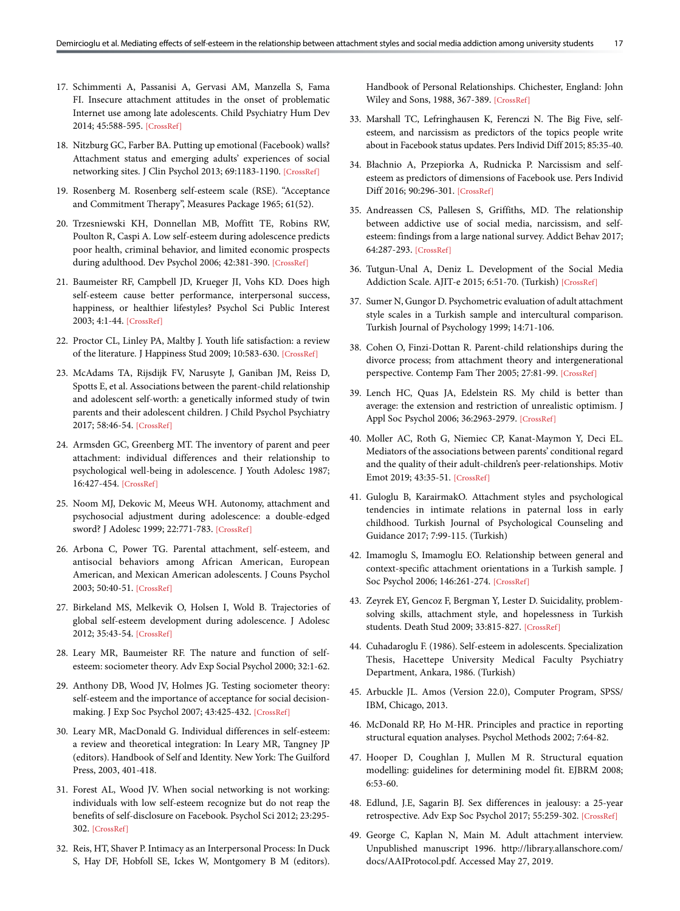- 17. Schimmenti A, Passanisi A, Gervasi AM, Manzella S, Fama FI. Insecure attachment attitudes in the onset of problematic Internet use among late adolescents. Child Psychiatry Hum Dev 2014; 45:588-595[. \[CrossRef\]](https://doi.org/10.1007/s10578-013-0428-0)
- 18. Nitzburg GC, Farber BA. Putting up emotional (Facebook) walls? Attachment status and emerging adults' experiences of social networking sites. J Clin Psychol 2013; 69:1183-1190[. \[CrossRef\]](https://doi.org/10.1002/jclp.22045)
- 19. Rosenberg M. Rosenberg self-esteem scale (RSE). "Acceptance and Commitment Therapy", [Measures Package 1965; 61\(52\).](https://doi.org/10.1037/t01038-000)
- 20. Trzesniewski KH, Donnellan MB, Moffitt TE, Robins RW, Poulton R, Caspi A. Low self-esteem during adolescence predicts poor health, criminal behavior, and limited economic prospects during adulthood. Dev Psychol 2006; 42:381-390[. \[CrossRef\]](https://doi.org/10.1037/0012-1649.42.2.381)
- 21. Baumeister RF, Campbell JD, Krueger JI, Vohs KD. Does high self-esteem cause better performance, interpersonal success, happiness, or healthier lifestyles? Psychol Sci Public Interest 2003; 4:1-44[. \[CrossRef\]](https://doi.org/10.1111/1529-1006.01431)
- 22. Proctor CL, Linley PA, Maltby J. Youth life satisfaction: a review of the literature. J Happiness Stud 2009; 10:583-630[. \[CrossRef\]](https://doi.org/10.1007/s10902-008-9110-9)
- 23. McAdams TA, Rijsdijk FV, Narusyte J, Ganiban JM, Reiss D, Spotts E, et al. Associations between the parent-child relationship and adolescent self‐worth: a genetically informed study of twin parents and their adolescent children. J Child Psychol Psychiatry 2017; 58:46-54[. \[CrossRef\]](https://doi.org/10.1111/jcpp.12600)
- 24. Armsden GC, Greenberg MT. The inventory of parent and peer attachment: individual differences and their relationship to psychological well-being in adolescence. J Youth Adolesc 1987; 16:427-454[. \[CrossRef\]](https://doi.org/10.1007/BF02202939)
- 25. Noom MJ, Dekovic M, Meeus WH. Autonomy, attachment and psychosocial adjustment during adolescence: a double-edged sword? J Adolesc 1999; 22:771-783. [\[CrossRef\]](https://doi.org/10.1006/jado.1999.0269)
- 26. Arbona C, Power TG. Parental attachment, self-esteem, and antisocial behaviors among African American, European American, and Mexican American adolescents. J Couns Psychol 2003; 50:40-5[1. \[CrossRef\]](https://doi.org/10.1037/0022-0167.50.1.40)
- 27. Birkeland MS, Melkevik O, Holsen I, Wold B. Trajectories of global self-esteem development during adolescence. J Adolesc 2012; 35:43-54. [\[CrossRef\]](https://doi.org/10.1016/j.adolescence.2011.06.006)
- 28. Leary MR, Baumeister RF. The nature and function of selfesteem: sociometer theory. [Adv Exp Social Psychol 2000; 32:1-62](https://doi.org/10.1016/S0065-2601(00)80003-9).
- 29. Anthony DB, Wood JV, Holmes JG. Testing sociometer theory: self-esteem and the importance of acceptance for social decisionmaking. J Exp Soc Psychol 2007; 43:425-432[. \[CrossRef\]](https://doi.org/10.1016/j.jesp.2006.03.002)
- 30. Leary MR, MacDonald G. Individual differences in self-esteem: a review and theoretical integration: In Leary MR, Tangney JP (editors). Handbook of Self and Identity. New York: The Guilford Press, 2003, 401-418.
- 31. Forest AL, Wood JV. When social networking is not working: individuals with low self-esteem recognize but do not reap the benefits of self-disclosure on Facebook. Psychol Sci 2012; 23:295- 302[. \[CrossRef\]](https://doi.org/10.1177/0956797611429709)
- 32. Reis, HT, Shaver P. Intimacy as an Interpersonal Process: In Duck S, Hay DF, Hobfoll SE, Ickes W, Montgomery B M (editors).

Handbook of Personal Relationships. Chichester, England: John Wiley and Sons, 1988, 367-38[9. \[CrossRef\]](https://doi.org/10.1080/00332747.1988.11024374)

- 33. Marshall TC, Lefringhausen K, Ferenczi N. The Big Five, selfesteem, and narcissism as predictors of the topics people write about in Facebook status updates[. Pers Individ Diff 2015; 85:35-40.](https://doi.org/10.1016/j.paid.2015.04.039)
- 34. Błachnio A, Przepiorka A, Rudnicka P. Narcissism and selfesteem as predictors of dimensions of Facebook use. Pers Individ Diff 2016; 90:296-30[1. \[CrossRef\]](https://doi.org/10.1016/j.paid.2015.11.018)
- 35. Andreassen CS, Pallesen S, Griffiths, MD. The relationship between addictive use of social media, narcissism, and selfesteem: findings from a large national survey. Addict Behav 2017; 64:287-293. [\[CrossRef\]](https://doi.org/10.1016/j.addbeh.2016.03.006)
- 36. Tutgun-Unal A, Deniz L. Development of the Social Media Addiction Scale. AJIT-e 2015; 6:51-70. (Turkish[\) \[CrossRef\]](https://doi.org/10.5824/1309-1581.2015.4.004.x)
- 37. Sumer N, Gungor D. Psychometric evaluation of adult attachment style scales in a Turkish sample and intercultural comparison. Turkish Journal of Psychology 1999; 14:71-106.
- 38. Cohen O, Finzi-Dottan R. Parent-child relationships during the divorce process; from attachment theory and intergenerational perspective. Contemp Fam Ther 2005; 27:81-9[9. \[CrossRef\]](https://doi.org/10.1007/s10591-004-1972-3)
- 39. Lench HC, Quas JA, Edelstein RS. My child is better than average: the extension and restriction of unrealistic optimism. J Appl Soc Psychol 2006; 36:2963-297[9. \[CrossRef\]](https://doi.org/10.1111/j.0021-9029.2006.00137.x)
- 40. Moller AC, Roth G, Niemiec CP, Kanat-Maymon Y, Deci EL. Mediators of the associations between parents' conditional regard and the quality of their adult-children's peer-relationships. Motiv Emot 2019; 43:35-51[. \[CrossRef\]](https://doi.org/10.1007/s11031-018-9727-x)
- 41. Guloglu B, KarairmakO. Attachment styles and psychological tendencies in intimate relations in paternal loss in early childhood. Turkish Journal of Psychological Counseling and Guidance 2017; 7:99-115. (Turkish)
- 42. Imamoglu S, Imamoglu EO. Relationship between general and context-specific attachment orientations in a Turkish sample. J Soc Psychol 2006; 146:261-274[. \[CrossRef\]](https://doi.org/10.3200/SOCP.146.3.261-274)
- 43. Zeyrek EY, Gencoz F, Bergman Y, Lester D. Suicidality, problemsolving skills, attachment style, and hopelessness in Turkish students. Death Stud 2009; 33:815-827. [\[CrossRef\]](https://doi.org/10.1080/07481180903142407)
- 44. Cuhadaroglu F. (1986). Self-esteem in adolescents. Specialization Thesis, Hacettepe University Medical Faculty Psychiatry Department, Ankara, 1986. (Turkish)
- 45. Arbuckle JL. Amos (Version 22.0), Computer Program, SPSS/ IBM, Chicago, 2013.
- 46. McDonald RP, Ho M-HR. Principles and practice in reporting structural equation analyse[s. Psychol Methods 2002; 7:64-82.](https://doi.org/10.1037/1082-989X.7.1.64)
- 47. Hooper D, Coughlan J, Mullen M R. Structural equation modelling: guidelines for determining model fit. EJBRM 2008; 6:53-60.
- 48. Edlund, J.E, Sagarin BJ. Sex differences in jealousy: a 25-year retrospective. Adv Exp Soc Psychol 2017; 55:259-30[2. \[CrossRef\]](https://doi.org/10.1016/bs.aesp.2016.10.004)
- 49. George C, Kaplan N, Main M. Adult attachment interview. Unpublished manuscript 1996. http://library.allanschore.com/ docs/AAIProtocol.pdf. Accessed May 27, 2019.